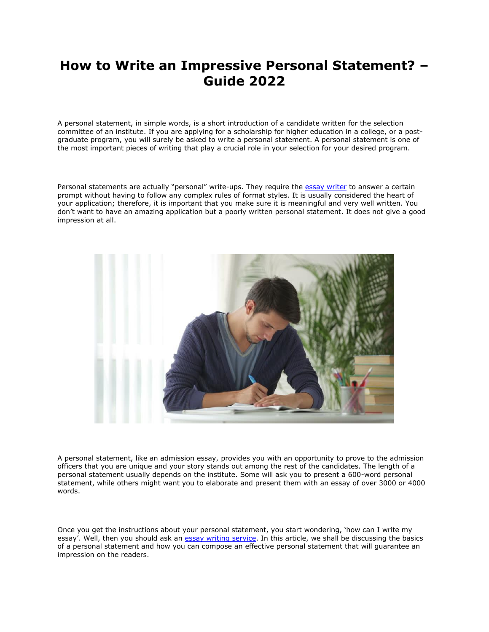## **How to Write an Impressive Personal Statement? – Guide 2022**

A personal statement, in simple words, is a short introduction of a candidate written for the selection committee of an institute. If you are applying for a scholarship for higher education in a college, or a postgraduate program, you will surely be asked to write a personal statement. A personal statement is one of the most important pieces of writing that play a crucial role in your selection for your desired program.

Personal statements are actually "personal" write-ups. They require the [essay writer](https://www.essaywritingservice.college/) to answer a certain prompt without having to follow any complex rules of format styles. It is usually considered the heart of your application; therefore, it is important that you make sure it is meaningful and very well written. You don't want to have an amazing application but a poorly written personal statement. It does not give a good impression at all.



A personal statement, like an admission essay, provides you with an opportunity to prove to the admission officers that you are unique and your story stands out among the rest of the candidates. The length of a personal statement usually depends on the institute. Some will ask you to present a 600-word personal statement, while others might want you to elaborate and present them with an essay of over 3000 or 4000 words.

Once you get the instructions about your personal statement, you start wondering, 'how can I write my essay'. Well, then you should ask an [essay writing service.](https://www.myperfectpaper.net/) In this article, we shall be discussing the basics of a personal statement and how you can compose an effective personal statement that will guarantee an impression on the readers.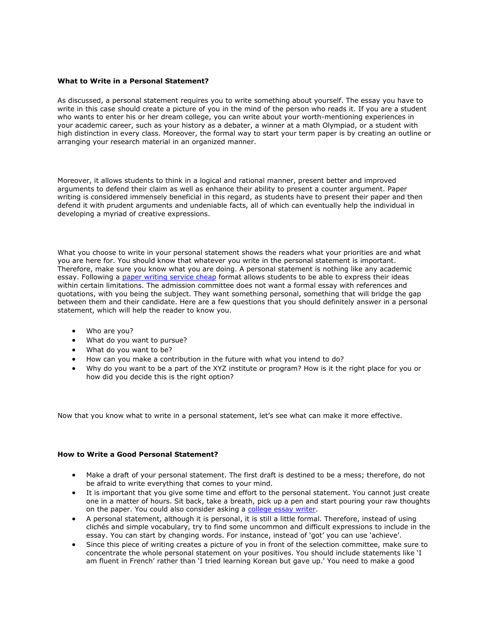## **What to Write in a Personal Statement?**

As discussed, a personal statement requires you to write something about yourself. The essay you have to write in this case should create a picture of you in the mind of the person who reads it. If you are a student who wants to enter his or her dream college, you can write about your worth-mentioning experiences in your academic career, such as your history as a debater, a winner at a math Olympiad, or a student with high distinction in every class. Moreover, the formal way to start your term paper is by creating an outline or arranging your research material in an organized manner.

Moreover, it allows students to think in a logical and rational manner, present better and improved arguments to defend their claim as well as enhance their ability to present a counter argument. Paper writing is considered immensely beneficial in this regard, as students have to present their paper and then defend it with prudent arguments and undeniable facts, all of which can eventually help the individual in developing a myriad of creative expressions.

What you choose to write in your personal statement shows the readers what your priorities are and what you are here for. You should know that whatever you write in the personal statement is important. Therefore, make sure you know what you are doing. A personal statement is nothing like any academic essay. Following a [paper writing service cheap](https://essayhours.com/) format allows students to be able to express their ideas within certain limitations. The admission committee does not want a formal essay with references and quotations, with you being the subject. They want something personal, something that will bridge the gap between them and their candidate. Here are a few questions that you should definitely answer in a personal statement, which will help the reader to know you.

- Who are you?
- What do you want to pursue?
- What do you want to be?
- How can you make a contribution in the future with what you intend to do?
- Why do you want to be a part of the XYZ institute or program? How is it the right place for you or how did you decide this is the right option?

Now that you know what to write in a personal statement, let's see what can make it more effective.

## **How to Write a Good Personal Statement?**

- Make a draft of your personal statement. The first draft is destined to be a mess; therefore, do not be afraid to write everything that comes to your mind.
- It is important that you give some time and effort to the personal statement. You cannot just create one in a matter of hours. Sit back, take a breath, pick up a pen and start pouring your raw thoughts on the paper. You could also consider asking a [college essay writer.](https://www.writemyessay.help/)
- A personal statement, although it is personal, it is still a little formal. Therefore, instead of using clichés and simple vocabulary, try to find some uncommon and difficult expressions to include in the essay. You can start by changing words. For instance, instead of 'got' you can use 'achieve'.
- Since this piece of writing creates a picture of you in front of the selection committee, make sure to concentrate the whole personal statement on your positives. You should include statements like 'I am fluent in French' rather than 'I tried learning Korean but gave up.' You need to make a good